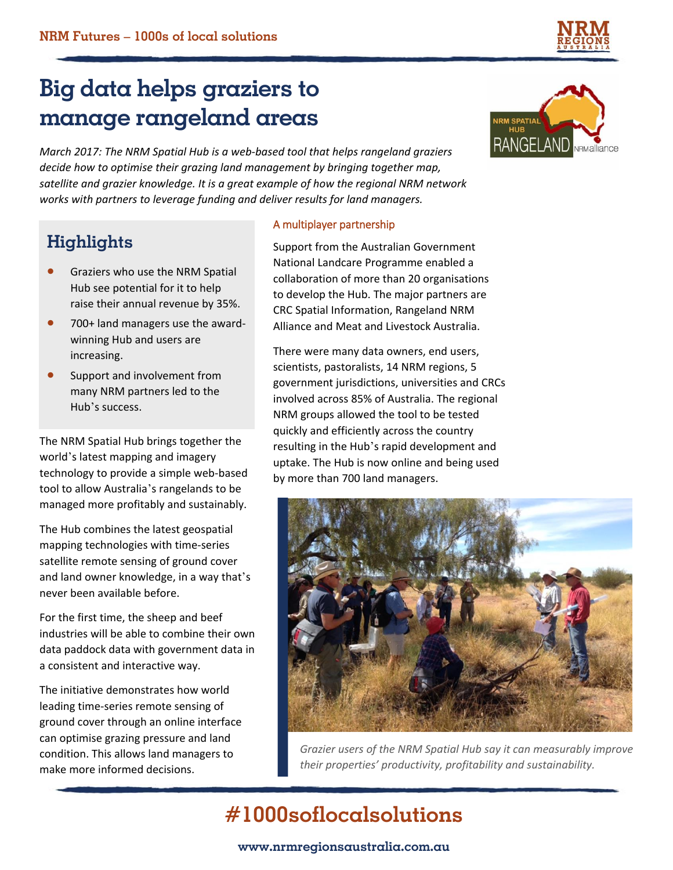

*March 2017: The NRM Spatial Hub is a web-based tool that helps rangeland graziers decide how to optimise their grazing land management by bringing together map, satellite and grazier knowledge. It is a great example of how the regional NRM network works with partners to leverage funding and deliver results for land managers.*

### **Highlights**

- Graziers who use the NRM Spatial Hub see potential for it to help raise their annual revenue by 35%.
- 700+ land managers use the awardwinning Hub and users are increasing.
- Support and involvement from many NRM partners led to the Hub's success.

The NRM Spatial Hub brings together the world's latest mapping and imagery technology to provide a simple web-based tool to allow Australia's rangelands to be managed more profitably and sustainably.

The Hub combines the latest geospatial mapping technologies with time-series satellite remote sensing of ground cover and land owner knowledge, in a way that's never been available before.

For the first time, the sheep and beef industries will be able to combine their own data paddock data with government data in a consistent and interactive way.

The initiative demonstrates how world leading time-series remote sensing of ground cover through an online interface can optimise grazing pressure and land condition. This allows land managers to make more informed decisions.

#### A multiplayer partnership

Support from the Australian Government National Landcare Programme enabled a collaboration of more than 20 organisations to develop the Hub. The major partners are CRC Spatial Information, Rangeland NRM Alliance and Meat and Livestock Australia.

There were many data owners, end users, scientists, pastoralists, 14 NRM regions, 5 government jurisdictions, universities and CRCs involved across 85% of Australia. The regional NRM groups allowed the tool to be tested quickly and efficiently across the country resulting in the Hub's rapid development and uptake. The Hub is now online and being used by more than 700 land managers.



*Grazier users of the NRM Spatial Hub say it can measurably improve their properties' productivity, profitability and sustainability.*

# **#1000soflocalsolutions**





#### **www.nrmregionsaustralia.com.au**